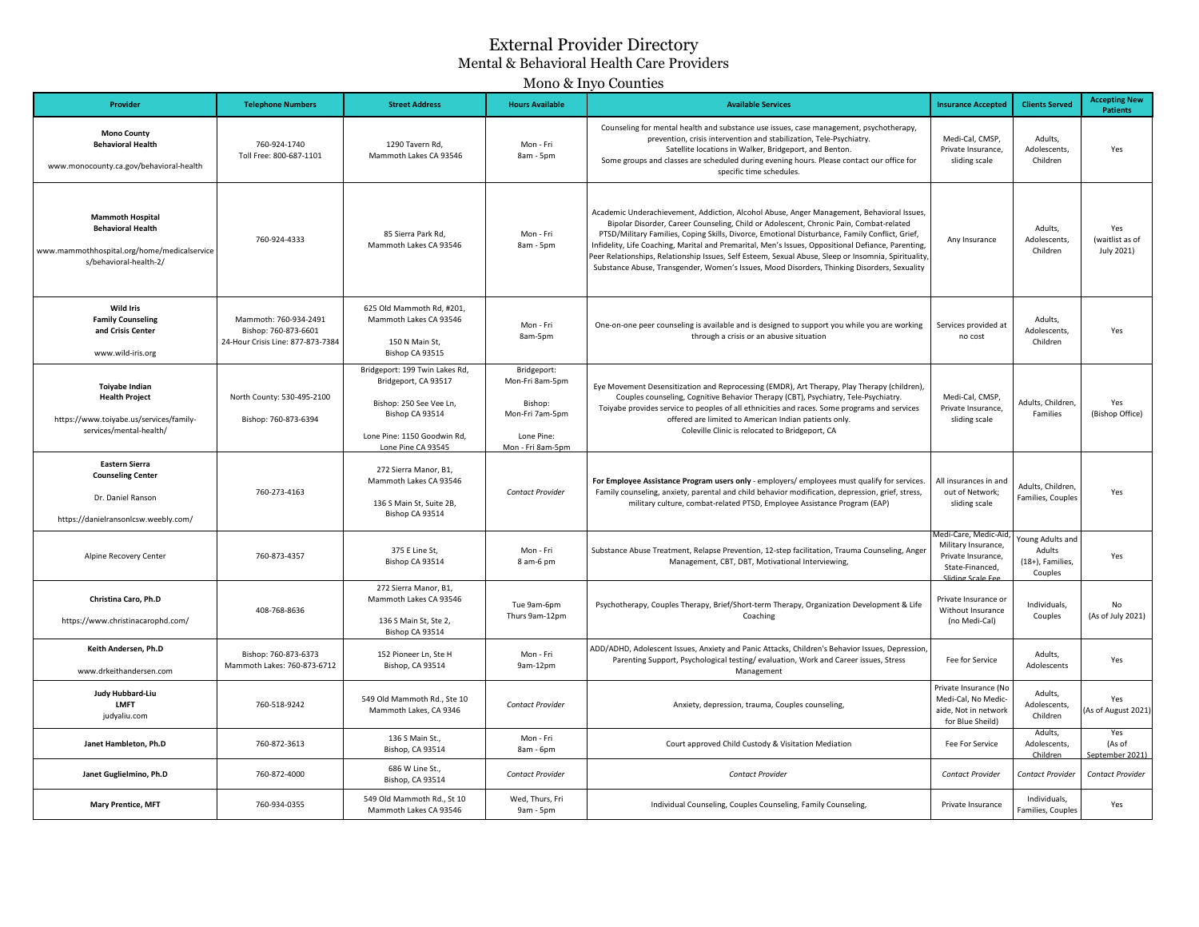## External Provider Directory Mental & Behavioral Health Care Providers

## Mono & Inyo Counties

| Provider                                                                                                                     | <b>Telephone Numbers</b>                                                           | <b>Street Address</b>                                                                                                                                     | <b>Hours Available</b>                                                                          | <b>Available Services</b>                                                                                                                                                                                                                                                                                                                                                                                                                                                                                                                                                                          | <b>Insurance Accepted</b>                                                                                | <b>Clients Served</b>                                     | <b>Accepting New</b><br><b>Patients</b> |
|------------------------------------------------------------------------------------------------------------------------------|------------------------------------------------------------------------------------|-----------------------------------------------------------------------------------------------------------------------------------------------------------|-------------------------------------------------------------------------------------------------|----------------------------------------------------------------------------------------------------------------------------------------------------------------------------------------------------------------------------------------------------------------------------------------------------------------------------------------------------------------------------------------------------------------------------------------------------------------------------------------------------------------------------------------------------------------------------------------------------|----------------------------------------------------------------------------------------------------------|-----------------------------------------------------------|-----------------------------------------|
| <b>Mono County</b><br><b>Behavioral Health</b><br>www.monocounty.ca.gov/behavioral-health                                    | 760-924-1740<br>Toll Free: 800-687-1101                                            | 1290 Tavern Rd.<br>Mammoth Lakes CA 93546                                                                                                                 | Mon - Fri<br>8am - 5pm                                                                          | Counseling for mental health and substance use issues, case management, psychotherapy,<br>prevention, crisis intervention and stabilization, Tele-Psychiatry.<br>Satellite locations in Walker, Bridgeport, and Benton.<br>Some groups and classes are scheduled during evening hours. Please contact our office for<br>specific time schedules.                                                                                                                                                                                                                                                   | Medi-Cal, CMSP,<br>Private Insurance,<br>sliding scale                                                   | Adults.<br>Adolescents,<br>Children                       | Yes                                     |
| <b>Mammoth Hospital</b><br><b>Behavioral Health</b><br>www.mammothhospital.org/home/medicalservice<br>s/behavioral-health-2/ | 760-924-4333                                                                       | 85 Sierra Park Rd,<br>Mammoth Lakes CA 93546                                                                                                              | Mon - Fri<br>8am - 5pm                                                                          | Academic Underachievement, Addiction, Alcohol Abuse, Anger Management, Behavioral Issues,<br>Bipolar Disorder, Career Counseling, Child or Adolescent, Chronic Pain, Combat-related<br>PTSD/Military Families, Coping Skills, Divorce, Emotional Disturbance, Family Conflict, Grief,<br>Infidelity, Life Coaching, Marital and Premarital, Men's Issues, Oppositional Defiance, Parenting,<br>Peer Relationships, Relationship Issues, Self Esteem, Sexual Abuse, Sleep or Insomnia, Spirituality,<br>Substance Abuse, Transgender, Women's Issues, Mood Disorders, Thinking Disorders, Sexuality | Any Insurance                                                                                            | Adults,<br><b>Adolescents</b><br>Children                 | Yes<br>(waitlist as of<br>July 2021)    |
| <b>Wild Iris</b><br><b>Family Counseling</b><br>and Crisis Center<br>www.wild-iris.org                                       | Mammoth: 760-934-2491<br>Bishop: 760-873-6601<br>24-Hour Crisis Line: 877-873-7384 | 625 Old Mammoth Rd, #201,<br>Mammoth Lakes CA 93546<br>150 N Main St,<br>Bishop CA 93515                                                                  | Mon - Fri<br>8am-5pm                                                                            | One-on-one peer counseling is available and is designed to support you while you are working<br>through a crisis or an abusive situation                                                                                                                                                                                                                                                                                                                                                                                                                                                           | Services provided at<br>no cost                                                                          | Adults,<br><b>Adolescents</b><br>Children                 | Yes                                     |
| Toiyabe Indian<br><b>Health Project</b><br>https://www.toiyabe.us/services/family-<br>services/mental-health/                | North County: 530-495-2100<br>Bishop: 760-873-6394                                 | Bridgeport: 199 Twin Lakes Rd,<br>Bridgeport, CA 93517<br>Bishop: 250 See Vee Ln,<br>Bishop CA 93514<br>Lone Pine: 1150 Goodwin Rd,<br>Lone Pine CA 93545 | Bridgeport:<br>Mon-Fri 8am-5pm<br>Bishop:<br>Mon-Fri 7am-5pm<br>Lone Pine:<br>Mon - Fri 8am-5pm | Eye Movement Desensitization and Reprocessing (EMDR), Art Therapy, Play Therapy (children),<br>Couples counseling, Cognitive Behavior Therapy (CBT), Psychiatry, Tele-Psychiatry.<br>Toiyabe provides service to peoples of all ethnicities and races. Some programs and services<br>offered are limited to American Indian patients only.<br>Coleville Clinic is relocated to Bridgeport, CA                                                                                                                                                                                                      | Medi-Cal, CMSP,<br>Private Insurance,<br>sliding scale                                                   | Adults, Children,<br>Families                             | Yes<br>(Bishop Office)                  |
| <b>Eastern Sierra</b><br><b>Counseling Center</b><br>Dr. Daniel Ranson<br>https://danielransonlcsw.weebly.com/               | 760-273-4163                                                                       | 272 Sierra Manor, B1,<br>Mammoth Lakes CA 93546<br>136 S Main St, Suite 2B,<br>Bishop CA 93514                                                            | Contact Provider                                                                                | For Employee Assistance Program users only - employers/ employees must qualify for services.<br>Family counseling, anxiety, parental and child behavior modification, depression, grief, stress,<br>military culture, combat-related PTSD, Employee Assistance Program (EAP)                                                                                                                                                                                                                                                                                                                       | All insurances in and<br>out of Network;<br>sliding scale                                                | Adults, Children,<br>Families, Couples                    | Yes                                     |
| Alpine Recovery Center                                                                                                       | 760-873-4357                                                                       | 375 E Line St,<br>Bishop CA 93514                                                                                                                         | Mon - Fri<br>8 am-6 pm                                                                          | Substance Abuse Treatment, Relapse Prevention, 12-step facilitation, Trauma Counseling, Anger<br>Management, CBT, DBT, Motivational Interviewing,                                                                                                                                                                                                                                                                                                                                                                                                                                                  | Medi-Care, Medic-Air<br>Military Insurance,<br>Private Insurance,<br>State-Financed,<br>Sliding Scale Fe | Young Adults and<br>Adults<br>(18+), Families,<br>Couples | Yes                                     |
| Christina Caro, Ph.D<br>https://www.christinacarophd.com/                                                                    | 408-768-8636                                                                       | 272 Sierra Manor, B1,<br>Mammoth Lakes CA 93546<br>136 S Main St, Ste 2,<br>Bishop CA 93514                                                               | Tue 9am-6pm<br>Thurs 9am-12pm                                                                   | Psychotherapy, Couples Therapy, Brief/Short-term Therapy, Organization Development & Life<br>Coaching                                                                                                                                                                                                                                                                                                                                                                                                                                                                                              | Private Insurance or<br>Without Insurance<br>(no Medi-Cal)                                               | Individuals,<br>Couples                                   | No<br>(As of July 2021)                 |
| Keith Andersen, Ph.D<br>www.drkeithandersen.com                                                                              | Bishop: 760-873-6373<br>Mammoth Lakes: 760-873-6712                                | 152 Pioneer Ln. Ste H<br>Bishop, CA 93514                                                                                                                 | Mon - Fri<br>9am-12pm                                                                           | ADD/ADHD, Adolescent Issues, Anxiety and Panic Attacks, Children's Behavior Issues, Depression<br>Parenting Support, Psychological testing/evaluation, Work and Career issues, Stress<br>Management                                                                                                                                                                                                                                                                                                                                                                                                | Fee for Service                                                                                          | Adults.<br>Adolescents                                    | Yes                                     |
| Judy Hubbard-Liu<br><b>LMFT</b><br>judyaliu.com                                                                              | 760-518-9242                                                                       | 549 Old Mammoth Rd., Ste 10<br>Mammoth Lakes, CA 9346                                                                                                     | <b>Contact Provider</b>                                                                         | Anxiety, depression, trauma, Couples counseling,                                                                                                                                                                                                                                                                                                                                                                                                                                                                                                                                                   | Private Insurance (No<br>Medi-Cal, No Medic-<br>aide, Not in network<br>for Blue Sheild)                 | Adults,<br>Adolescents<br>Children                        | Yes<br>As of August 2021)               |
| Janet Hambleton, Ph.D                                                                                                        | 760-872-3613                                                                       | 136 S Main St.,<br>Bishop, CA 93514                                                                                                                       | Mon - Fri<br>8am - 6pm                                                                          | Court approved Child Custody & Visitation Mediation                                                                                                                                                                                                                                                                                                                                                                                                                                                                                                                                                | Fee For Service                                                                                          | Adults,<br>Adolescents,<br>Children                       | Yes<br>(As of<br>stember 2021)          |
| Janet Guglielmino, Ph.D                                                                                                      | 760-872-4000                                                                       | 686 W Line St.,<br>Bishop, CA 93514                                                                                                                       | <b>Contact Provider</b>                                                                         | Contact Provider                                                                                                                                                                                                                                                                                                                                                                                                                                                                                                                                                                                   | <b>Contact Provider</b>                                                                                  | Contact Provider                                          | Contact Provider                        |
| <b>Mary Prentice, MFT</b>                                                                                                    | 760-934-0355                                                                       | 549 Old Mammoth Rd., St 10<br>Mammoth Lakes CA 93546                                                                                                      | Wed, Thurs, Fri<br>9am - 5pm                                                                    | Individual Counseling, Couples Counseling, Family Counseling,                                                                                                                                                                                                                                                                                                                                                                                                                                                                                                                                      | Private Insurance                                                                                        | Individuals,<br>Families, Couples                         | Yes                                     |